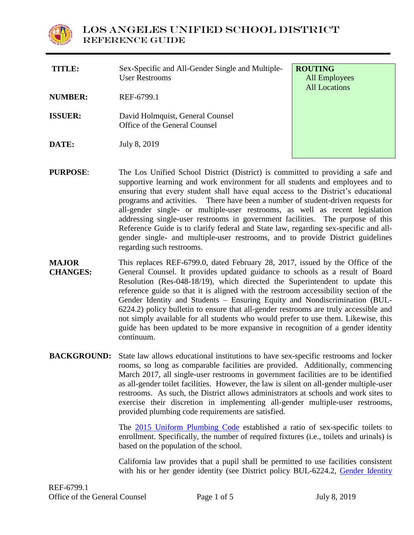

| <b>TITLE:</b>  | Sex-Specific and All-Gender Single and Multiple-<br><b>User Restrooms</b> | <b>ROUTING</b><br><b>All Employees</b><br><b>All Locations</b> |
|----------------|---------------------------------------------------------------------------|----------------------------------------------------------------|
| <b>NUMBER:</b> | REF-6799.1                                                                |                                                                |
| <b>ISSUER:</b> | David Holmquist, General Counsel<br>Office of the General Counsel         |                                                                |
| DATE:          | July 8, 2019                                                              |                                                                |
|                |                                                                           |                                                                |

- **PURPOSE:** The Los Unified School District (District) is committed to providing a safe and supportive learning and work environment for all students and employees and to ensuring that every student shall have equal access to the District's educational programs and activities. There have been a number of student-driven requests for all-gender single- or multiple-user restrooms, as well as recent legislation addressing single-user restrooms in government facilities. The purpose of this Reference Guide is to clarify federal and State law, regarding sex-specific and allgender single- and multiple-user restrooms, and to provide District guidelines regarding such restrooms.
- **MAJOR CHANGES:** This replaces REF-6799.0, dated February 28, 2017, issued by the Office of the General Counsel. It provides updated guidance to schools as a result of Board Resolution (Res-048-18/19), which directed the Superintendent to update this reference guide so that it is aligned with the restroom accessibility section of the Gender Identity and Students – Ensuring Equity and Nondiscrimination (BUL-6224.2) policy bulletin to ensure that all-gender restrooms are truly accessible and not simply available for all students who would prefer to use them. Likewise, this guide has been updated to be more expansive in recognition of a gender identity continuum.
- **BACKGROUND:** State law allows educational institutions to have sex-specific restrooms and locker rooms, so long as comparable facilities are provided. Additionally, commencing March 2017, all single-user restrooms in government facilities are to be identified as all-gender toilet facilities. However, the law is silent on all-gender multiple-user restrooms. As such, the District allows administrators at schools and work sites to exercise their discretion in implementing all-gender multiple-user restrooms, provided plumbing code requirements are satisfied.

The [2015 Uniform Plumbing Code](http://epubs.iapmo.org/UPC/) established a ratio of sex-specific toilets to enrollment. Specifically, the number of required fixtures (i.e., toilets and urinals) is based on the population of the school.

California law provides that a pupil shall be permitted to use facilities consistent with his or her gender identity (see District policy BUL-6224.2, Gender Identity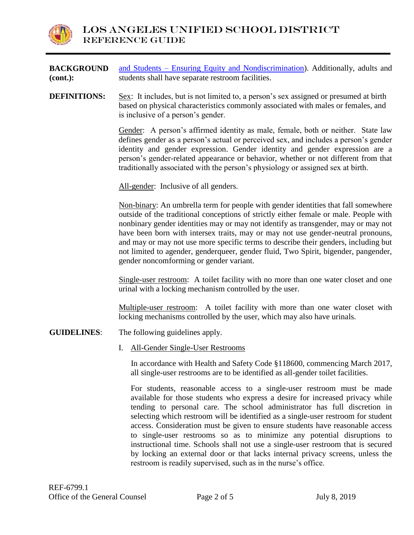

| <b>BACKGROUND</b><br>$(cont.)$ : | and Students – Ensuring Equity and Nondiscrimination). Additionally, adults and<br>students shall have separate restroom facilities.                                                                                                                                                                                                                                                                                                                                                                                                                                           |  |
|----------------------------------|--------------------------------------------------------------------------------------------------------------------------------------------------------------------------------------------------------------------------------------------------------------------------------------------------------------------------------------------------------------------------------------------------------------------------------------------------------------------------------------------------------------------------------------------------------------------------------|--|
| <b>DEFINITIONS:</b>              | Sex: It includes, but is not limited to, a person's sex assigned or presumed at birth<br>based on physical characteristics commonly associated with males or females, and<br>is inclusive of a person's gender.                                                                                                                                                                                                                                                                                                                                                                |  |
|                                  | Gender: A person's affirmed identity as male, female, both or neither. State law<br>defines gender as a person's actual or perceived sex, and includes a person's gender<br>identity and gender expression. Gender identity and gender expression are a<br>person's gender-related appearance or behavior, whether or not different from that<br>traditionally associated with the person's physiology or assigned sex at birth.                                                                                                                                               |  |
|                                  | All-gender: Inclusive of all genders.                                                                                                                                                                                                                                                                                                                                                                                                                                                                                                                                          |  |
|                                  | Non-binary: An umbrella term for people with gender identities that fall somewhere<br>outside of the traditional conceptions of strictly either female or male. People with<br>nonbinary gender identities may or may not identify as transgender, may or may not<br>have been born with intersex traits, may or may not use gender-neutral pronouns,<br>and may or may not use more specific terms to describe their genders, including but<br>not limited to agender, genderqueer, gender fluid, Two Spirit, bigender, pangender,<br>gender noncomforming or gender variant. |  |
|                                  | Single-user restroom: A toilet facility with no more than one water closet and one<br>urinal with a locking mechanism controlled by the user.                                                                                                                                                                                                                                                                                                                                                                                                                                  |  |
|                                  | Multiple-user restroom: A toilet facility with more than one water closet with<br>locking mechanisms controlled by the user, which may also have urinals.                                                                                                                                                                                                                                                                                                                                                                                                                      |  |
| <b>GUIDELINES:</b>               | The following guidelines apply.                                                                                                                                                                                                                                                                                                                                                                                                                                                                                                                                                |  |
|                                  | <b>All-Gender Single-User Restrooms</b><br>I.                                                                                                                                                                                                                                                                                                                                                                                                                                                                                                                                  |  |
|                                  | In accordance with Health and Safety Code §118600, commencing March 2017,<br>all single-user restrooms are to be identified as all-gender toilet facilities.                                                                                                                                                                                                                                                                                                                                                                                                                   |  |
|                                  | For students, reasonable access to a single-user restroom must be made<br>available for those students who express a desire for increased privacy while<br>tending to personal care. The school administrator has full discretion in<br>selecting which restroom will be identified as a single-user restroom for student<br>access. Consideration must be given to ensure students have reasonable access<br>to single-user restrooms so as to minimize any potential disruptions to<br>instructional time. Schools shall not use a single-user restroom that is secured      |  |

restroom is readily supervised, such as in the nurse's office.

by locking an external door or that lacks internal privacy screens, unless the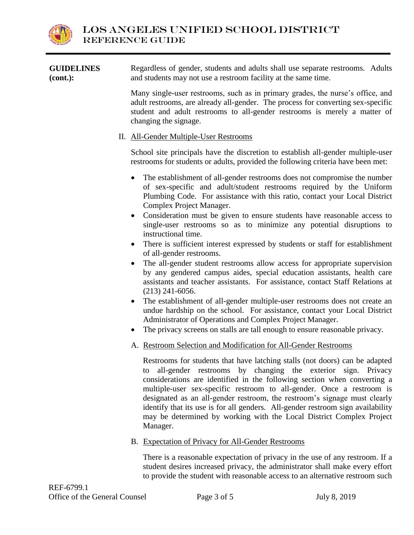

| <b>GUIDELINES</b><br>$(cont.)$ : | Regardless of gender, students and adults shall use separate restrooms. Adults<br>and students may not use a restroom facility at the same time.                                                                                                                                                                                                                                                                                                                                                                                                                                                                                                                                                                                                                                                                                                                                                                                                                                                                                                                                                                                                             |
|----------------------------------|--------------------------------------------------------------------------------------------------------------------------------------------------------------------------------------------------------------------------------------------------------------------------------------------------------------------------------------------------------------------------------------------------------------------------------------------------------------------------------------------------------------------------------------------------------------------------------------------------------------------------------------------------------------------------------------------------------------------------------------------------------------------------------------------------------------------------------------------------------------------------------------------------------------------------------------------------------------------------------------------------------------------------------------------------------------------------------------------------------------------------------------------------------------|
|                                  | Many single-user restrooms, such as in primary grades, the nurse's office, and<br>adult restrooms, are already all-gender. The process for converting sex-specific<br>student and adult restrooms to all-gender restrooms is merely a matter of<br>changing the signage.                                                                                                                                                                                                                                                                                                                                                                                                                                                                                                                                                                                                                                                                                                                                                                                                                                                                                     |
|                                  | II. All-Gender Multiple-User Restrooms                                                                                                                                                                                                                                                                                                                                                                                                                                                                                                                                                                                                                                                                                                                                                                                                                                                                                                                                                                                                                                                                                                                       |
|                                  | School site principals have the discretion to establish all-gender multiple-user<br>restrooms for students or adults, provided the following criteria have been met:                                                                                                                                                                                                                                                                                                                                                                                                                                                                                                                                                                                                                                                                                                                                                                                                                                                                                                                                                                                         |
|                                  | The establishment of all-gender restrooms does not compromise the number<br>$\bullet$<br>of sex-specific and adult/student restrooms required by the Uniform<br>Plumbing Code. For assistance with this ratio, contact your Local District<br>Complex Project Manager.<br>Consideration must be given to ensure students have reasonable access to<br>$\bullet$<br>single-user restrooms so as to minimize any potential disruptions to<br>instructional time.<br>There is sufficient interest expressed by students or staff for establishment<br>of all-gender restrooms.<br>The all-gender student restrooms allow access for appropriate supervision<br>$\bullet$<br>by any gendered campus aides, special education assistants, health care<br>assistants and teacher assistants. For assistance, contact Staff Relations at<br>$(213)$ 241-6056.<br>The establishment of all-gender multiple-user restrooms does not create an<br>undue hardship on the school. For assistance, contact your Local District<br>Administrator of Operations and Complex Project Manager.<br>The privacy screens on stalls are tall enough to ensure reasonable privacy. |
|                                  | A. Restroom Selection and Modification for All-Gender Restrooms                                                                                                                                                                                                                                                                                                                                                                                                                                                                                                                                                                                                                                                                                                                                                                                                                                                                                                                                                                                                                                                                                              |
|                                  | Restrooms for students that have latching stalls (not doors) can be adapted<br>all-gender restrooms by changing the exterior sign. Privacy<br>to<br>considerations are identified in the following section when converting a<br>multiple-user sex-specific restroom to all-gender. Once a restroom is<br>designated as an all-gender restroom, the restroom's signage must clearly<br>identify that its use is for all genders. All-gender restroom sign availability<br>may be determined by working with the Local District Complex Project<br>Manager.                                                                                                                                                                                                                                                                                                                                                                                                                                                                                                                                                                                                    |
|                                  | B. Expectation of Privacy for All-Gender Restrooms                                                                                                                                                                                                                                                                                                                                                                                                                                                                                                                                                                                                                                                                                                                                                                                                                                                                                                                                                                                                                                                                                                           |
|                                  | There is a reasonable expectation of privacy in the use of any restroom. If a<br>student desires increased privacy, the administrator shall make every effort<br>to provide the student with reasonable access to an alternative restroom such                                                                                                                                                                                                                                                                                                                                                                                                                                                                                                                                                                                                                                                                                                                                                                                                                                                                                                               |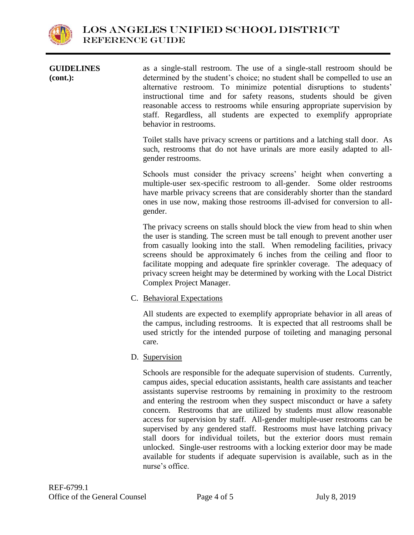

| <b>GUIDELINES</b><br>$(cont.)$ : | as a single-stall restroom. The use of a single-stall restroom should be<br>determined by the student's choice; no student shall be compelled to use an<br>alternative restroom. To minimize potential disruptions to students'<br>instructional time and for safety reasons, students should be given<br>reasonable access to restrooms while ensuring appropriate supervision by<br>staff. Regardless, all students are expected to exemplify appropriate<br>behavior in restrooms. |
|----------------------------------|---------------------------------------------------------------------------------------------------------------------------------------------------------------------------------------------------------------------------------------------------------------------------------------------------------------------------------------------------------------------------------------------------------------------------------------------------------------------------------------|
|                                  | Toilet stalls have privacy screens or partitions and a latching stall door. As<br>such, restrooms that do not have urinals are more easily adapted to all-<br>gender restrooms.                                                                                                                                                                                                                                                                                                       |
|                                  | Schools must consider the privacy screens' height when converting a<br>multiple-user sex-specific restroom to all-gender. Some older restrooms<br>have marble privacy screens that are considerably shorter than the standard<br>ones in use now, making those restrooms ill-advised for conversion to all-<br>gender.                                                                                                                                                                |
|                                  | The privacy screens on stalls should block the view from head to shin when<br>the user is standing. The screen must be tall enough to prevent another user                                                                                                                                                                                                                                                                                                                            |

from casually looking into the stall. When remodeling facilities, privacy screens should be approximately 6 inches from the ceiling and floor to facilitate mopping and adequate fire sprinkler coverage. The adequacy of privacy screen height may be determined by working with the Local District Complex Project Manager.

## C. Behavioral Expectations

All students are expected to exemplify appropriate behavior in all areas of the campus, including restrooms. It is expected that all restrooms shall be used strictly for the intended purpose of toileting and managing personal care.

## D. Supervision

Schools are responsible for the adequate supervision of students. Currently, campus aides, special education assistants, health care assistants and teacher assistants supervise restrooms by remaining in proximity to the restroom and entering the restroom when they suspect misconduct or have a safety concern. Restrooms that are utilized by students must allow reasonable access for supervision by staff. All-gender multiple-user restrooms can be supervised by any gendered staff. Restrooms must have latching privacy stall doors for individual toilets, but the exterior doors must remain unlocked. Single-user restrooms with a locking exterior door may be made available for students if adequate supervision is available, such as in the nurse's office.